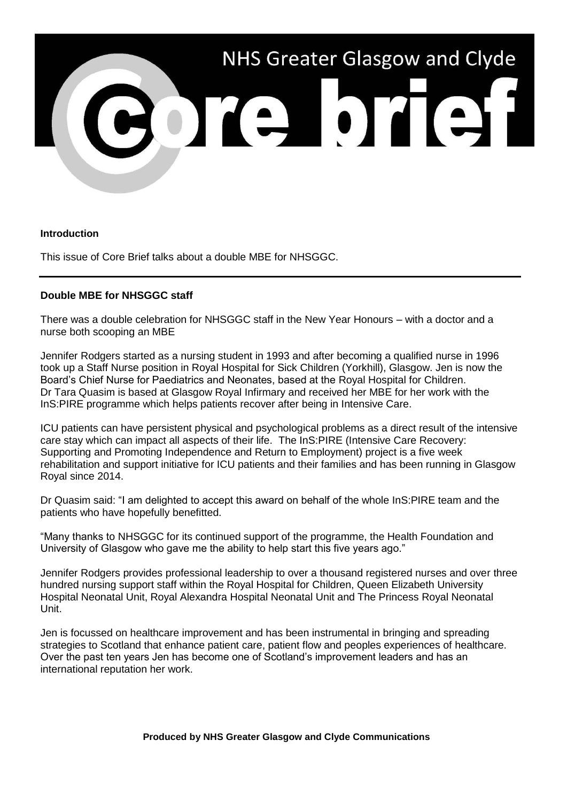

## **Introduction**

This issue of Core Brief talks about a double MBE for NHSGGC.

## **Double MBE for NHSGGC staff**

There was a double celebration for NHSGGC staff in the New Year Honours – with a doctor and a nurse both scooping an MBE

Jennifer Rodgers started as a nursing student in 1993 and after becoming a qualified nurse in 1996 took up a Staff Nurse position in Royal Hospital for Sick Children (Yorkhill), Glasgow. Jen is now the Board's Chief Nurse for Paediatrics and Neonates, based at the Royal Hospital for Children. Dr Tara Quasim is based at Glasgow Royal Infirmary and received her MBE for her work with the InS:PIRE programme which helps patients recover after being in Intensive Care.

ICU patients can have persistent physical and psychological problems as a direct result of the intensive care stay which can impact all aspects of their life. The InS:PIRE (Intensive Care Recovery: Supporting and Promoting Independence and Return to Employment) project is a five week rehabilitation and support initiative for ICU patients and their families and has been running in Glasgow Royal since 2014.

Dr Quasim said: "I am delighted to accept this award on behalf of the whole InS:PIRE team and the patients who have hopefully benefitted.

"Many thanks to NHSGGC for its continued support of the programme, the Health Foundation and University of Glasgow who gave me the ability to help start this five years ago."

Jennifer Rodgers provides professional leadership to over a thousand registered nurses and over three hundred nursing support staff within the Royal Hospital for Children, Queen Elizabeth University Hospital Neonatal Unit, Royal Alexandra Hospital Neonatal Unit and The Princess Royal Neonatal Unit.

Jen is focussed on healthcare improvement and has been instrumental in bringing and spreading strategies to Scotland that enhance patient care, patient flow and peoples experiences of healthcare. Over the past ten years Jen has become one of Scotland's improvement leaders and has an international reputation her work.